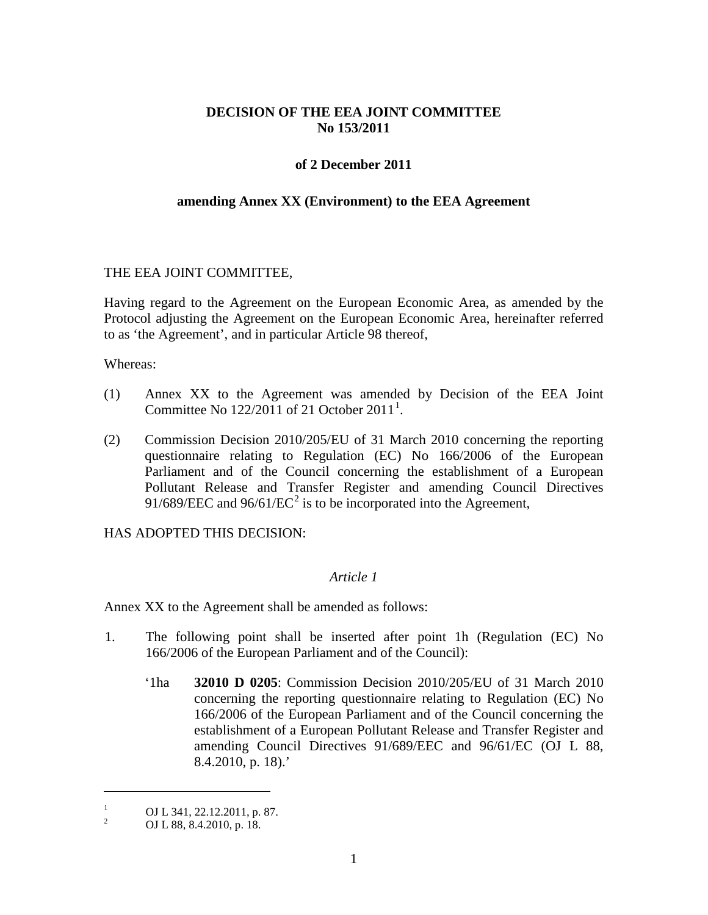## **DECISION OF THE EEA JOINT COMMITTEE No 153/2011**

### **of 2 December 2011**

#### **amending Annex XX (Environment) to the EEA Agreement**

#### THE EEA JOINT COMMITTEE,

Having regard to the Agreement on the European Economic Area, as amended by the Protocol adjusting the Agreement on the European Economic Area, hereinafter referred to as 'the Agreement', and in particular Article 98 thereof,

Whereas:

- (1) Annex XX to the Agreement was amended by Decision of the EEA Joint Committee No  $122/2011$  $122/2011$  of 21 October  $2011<sup>1</sup>$ .
- (2) Commission Decision 2010/205/EU of 31 March 2010 concerning the reporting questionnaire relating to Regulation (EC) No 166/2006 of the European Parliament and of the Council concerning the establishment of a European Pollutant Release and Transfer Register and amending Council Directives 91/689/EEC and 96/61/EC<sup>[2](#page-0-1)</sup> is to be incorporated into the Agreement,

HAS ADOPTED THIS DECISION:

#### *Article 1*

Annex XX to the Agreement shall be amended as follows:

- 1. The following point shall be inserted after point 1h (Regulation (EC) No 166/2006 of the European Parliament and of the Council):
	- '1ha **32010 D 0205**: Commission Decision 2010/205/EU of 31 March 2010 concerning the reporting questionnaire relating to Regulation (EC) No 166/2006 of the European Parliament and of the Council concerning the establishment of a European Pollutant Release and Transfer Register and amending Council Directives 91/689/EEC and 96/61/EC (OJ L 88, 8.4.2010, p. 18).'

 $\overline{a}$ 

<span id="page-0-0"></span><sup>&</sup>lt;sup>1</sup> OJ L 341, 22.12.2011, p. 87.<br>OJ L 88, 8.4.2010, p. 18.

<span id="page-0-1"></span>